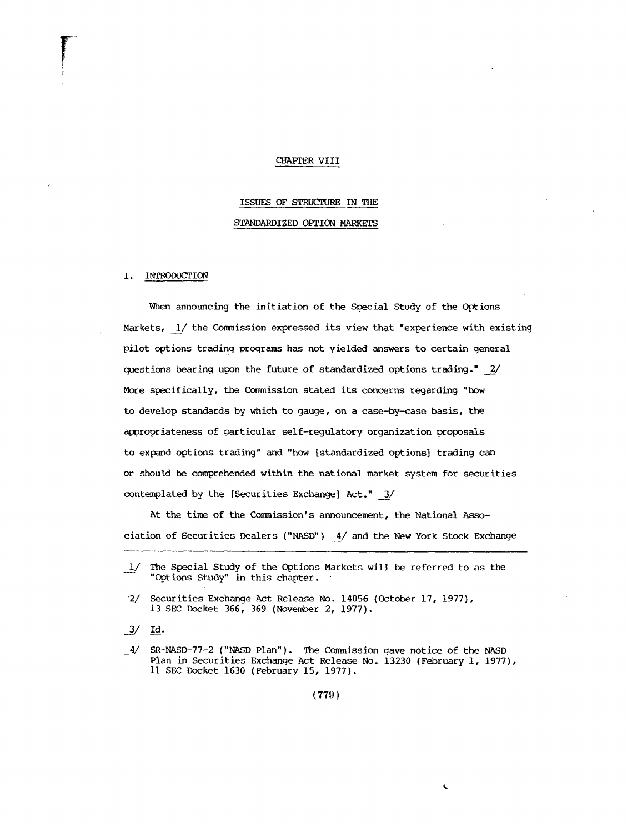#### CHAPTER VIII

# ISSUES OF STRUCTURE IN THE STANDARDIZED OPTION MARKETS

#### I. INTRODUCTION

When announcing the initiation of the Special Study of the Options Markets,  $1/$  the Commission expressed its view that "experience with existing pilot options trading programs has not yielded answers to certain general questions bearing upon the future of standardized options trading."  $\frac{2}{ }$ More specifically, the Commission stated its concerns regarding "how to develop standards by which to gauge, on a case-by-case basis, the appropriateness o£ particular self-regulatory organization proposals to expand options trading" and "how [standardized options] trading can or should be comprehended within the national market system for securities contemplated by the [Securities Exchange] Act." 3/

At the time of the Commission's announcement, the National Association of Securities Dealers ("NASD")  $\frac{4}{ }$  and the New York Stock Exchange

 $3/$ Iđ.

(779)

Ċ

<sup>1/</sup> The Special Study of the Options Markets will be referred to as the "Options Study" in this chapter.

Securities Exchange Act Release No. 14056 (October 17, 1977),  $\frac{2}{ }$ 13 SEC Docket 366, 369 (November 2, 1977).

 $\_4/$  SR-NASD-77-2 ("NASD Plan"). The Commission gave notice of the NASD Plan in Securities Exchange Act Release No. 13230 (February 1, 1977), Ii SEC Docket 1630 (February 15, 1977).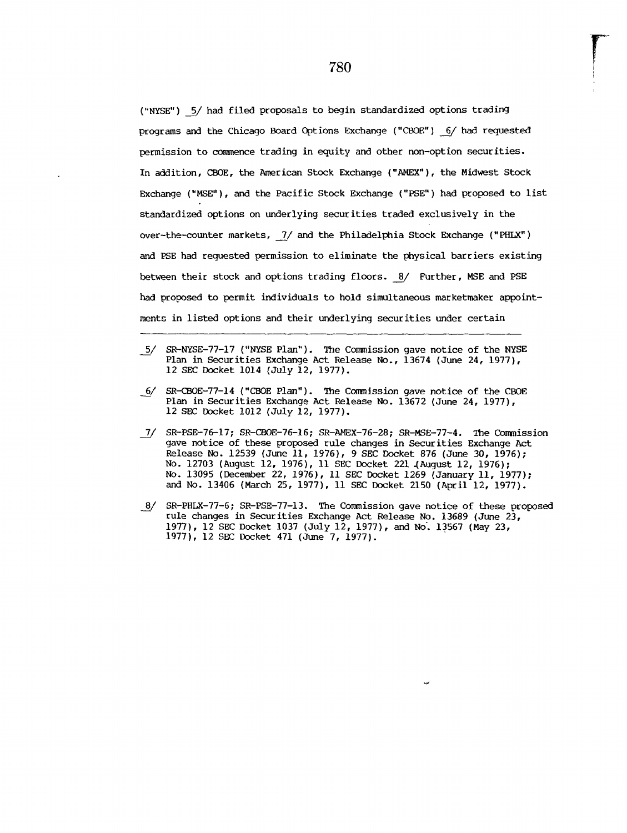("NYSE") 5/ had filed proposals to begin standardized options trading programs and the Chicago Board Options Exchange ("CBOE") 6/ had requested permission to commence trading in equity and other non-option securities. In addition, CBOE, the American Stock Exchange ("AMEX"), the Midwest Stock Exchange ("MSE"), and the Pacific Stock Exchange ("PSE") had proposed to list standardized options on underlying securities traded exclusively in the over-the-counter markets, 7/ and the Philadelphia Stock Exchange ("PHLX") and PSE had requested permission to eliminate the physical barriers existing between their stock and options trading floors. 8/ Further, MSE and PSE had proposed to permit individuals to hold simultaneous marketmaker appointments in listed options and their underlying securities under certain

- 5/ SR-NYSE-77-17 ("NYSE Plan"). The Commission gave notice of the NYS Plan in Securities Exchange Act Release No., 13674 (June 24, 1977), 12 SEC Docket 1014 (July 12, 1977).
- SR-CBOE-77-14 ("CHOE Plan"). The Con~nission gave notice of the CBOE Plan in Securities Exchange Act Release No. 13672 (June 24, 1977), 12 SEC Docket 1012 (July 12, 1977).
- **7-/** SR-PSE-76-17; SR-CBOE-76-16; SR-AMEX-76-28; SR-MSE-77-4. The Commission gave notice of these proposed rule changes in Securities Exchange Act Release No. 12539 (June ii, 1976), 9 SEC Docket 876 (June 30, 1976); No. 12703 (August 12, 1976), ii SEC Docket 221 4August 12, 1976); No. 13095 (December 22, 1976), ii SEC Docket 1269 (January ii, 1977); and No. 13406 (March 25, 1977), ii SEC Docket 2150 (April 12, 1977).
- $\frac{8}{2}$ SR-PHLX-77-6; SR-PSE-77-13. The Commission gave notice of these proposed rule changes in Securities Exchange Act Release No. 13689 (June 23, 1977), 12 SEC Docket 1037 (July 12, 1977), and No'. 13567 (May 23, 1977), 12 SEC Docket 471 (June 7, 1977).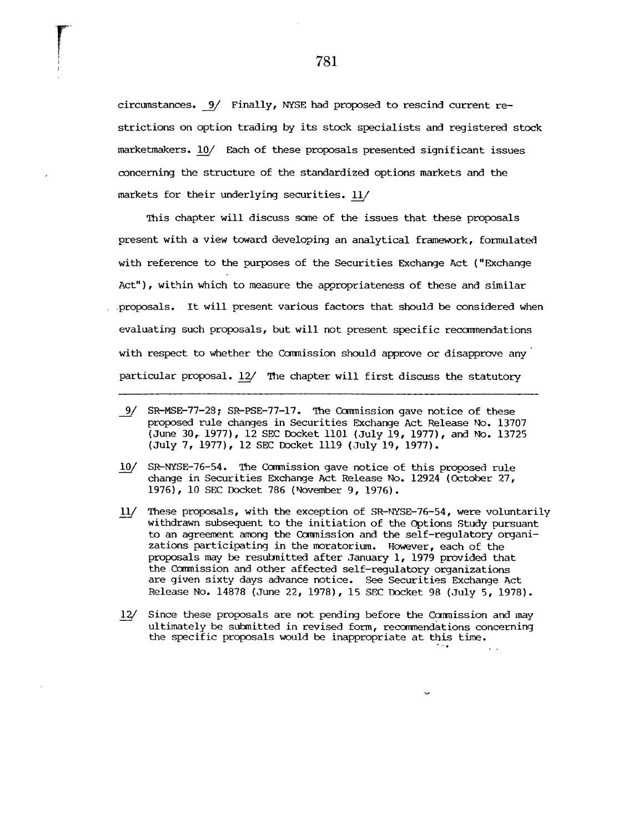circumstances. 9/ Finally, NYSE had proposed to rescind current restrictions on option trading by its stock specialists and registered stock marketmakers. 10/ Each of these proposals presented significant issues concerning the structure of the standardized options markets and the markets for their underlying securities.  $11/$ 

This chapter will discuss some of the issues that these proposals present with a view toward developing an analytical framework, formulated with reference to the purposes of the Securities Exchange Act ("Exchange Act"), within which to measure the appropriateness of these and similar .proposals. It will present various factors that should be considered when evaluating such proposals, but will not present specific recommendations with respect to whether the Commission should approve or disapprove any particular proposal. 12/ The chapter will first discuss the statutory

- 9/ SR-MSE-77-28; SR-PSE-77-17. The Commission gave notice of these proposed rule changes in Securities Exchange Act Release No. 13707 (June 30, 1977), 12 SEC Docket 1101 (July 19, 1977), and No. 13725 (July 7, 1977), 12 SEC Docket 1119 (July 19, 1977).
- $10/$ SR-NYSE-76-54. The Commission gave notice of this proposed rule change in Securities Exchange Act Release No. 12924 (October 27, 1976), i0 SEC Docket 786 (November 9, 1976).
- $11/$ These proposals, with the exception of SR-NYSE-76-54, were voluntarily withdrawn subsequent to the initiation of the Options Study pursuant to an agreement among the Commission and the self-regulatory organizations participating in the moratorium. However, each of the proposals may be resubnitted after January i, 1979 provided that the Comaission and other affected self-regulatory organizations are given sixty days advance notice. See Securities Exchange Act Release No. 14878 (June 22, 1978), 15 SEC Docket 98 (July 5, 1978).
- $12/$ Since these proposals are not pending before the Commission and may ultimately be submitted in revised form, recommendations concerning the specific proposals would be inappropriate at this time.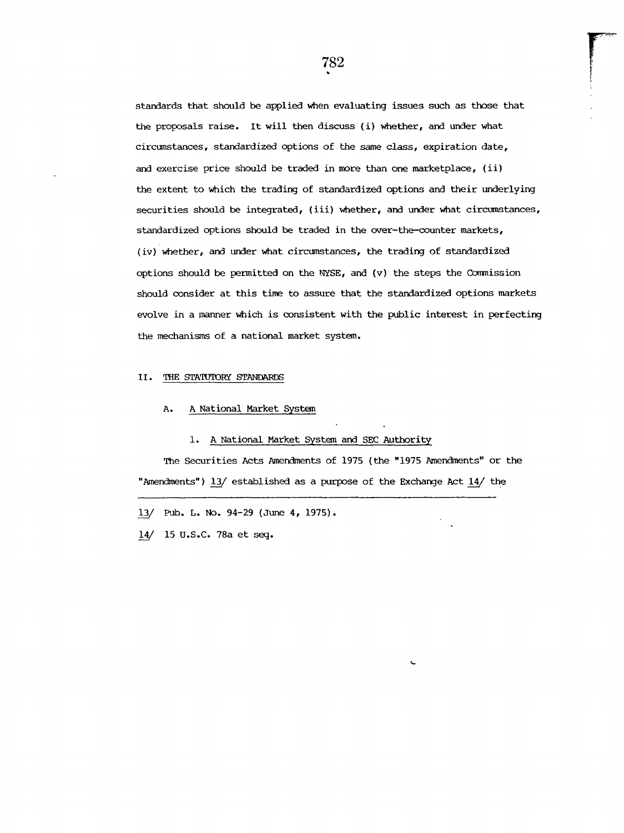standards that should be applied when evaluating issues such as those that the proposals raise. It will then discuss (i) whether, and under what circumstances, standardized options of the same class, expiration date, and exercise price should be traded in more than one marketplace, (ii) the extent to which the trading of standardized options and their underlying securities should be integrated, (iii) whether, and under what circumstances, standardized options should be traded in the over-the-counter markets, (iv) whether, and under what circumstances, the trading of standardized options should be permitted on the NYSE, and  $(v)$  the steps the Commission should consider at this time to assure that the standardized options markets evolve in a manner which is consistent with the public interest in perfecting the mechanisms of a national market system.

#### II. THE STATUTORY STANDARDS

### A. A National Market System

#### I. A National Market System and SEC Authority

The Securities Acts Amendments of 1975 (the "1975 Amendments" or the "Amendments") 13/ established as a purpose of the Exchange Act 14/ the

13/ Pub. L. No. 94-29 (June 4, 1975).

14/ 15 U.S.C. 78a et seq.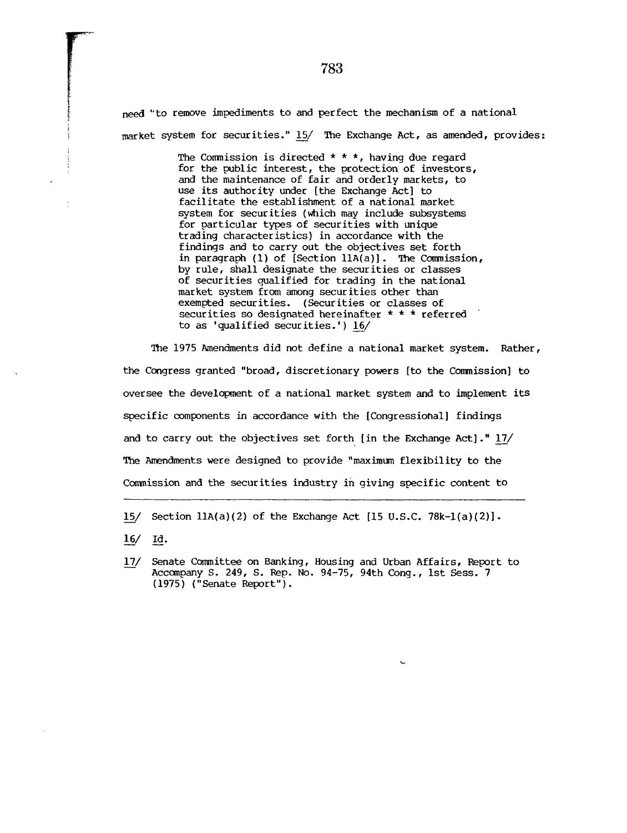need "to remove impediments to and perfect the mechanism of a national market system for securities." 15/ The Exchange Act, as amended, provides:

> The Commission is directed  $* * *$ , having due regard for the public interest, the protection of investors, and the maintenance of fair and orderly markets, to use its authority under [the Exchange Act] to facilitate the establishment of a national market system for securities (which may include subsystems for particular types of securities with unique trading characteristics) in accordance with the findings and to carry out the objectives set forth in paragraph (I) of [Section llA(a)]. The Commission, by rule, shall designate the securities or classes of securities qualified for trading in the national market system from among securities other than exempted securities. (Securities or classes of securities so designated hereinafter \* \* \* referred to as 'qualified securities.') 16/

The 1975 Amendments did not define a national market system. Rather, the Congress granted "broad, discretionary powers [to the Commission] to oversee the development of a national market system and to implement its specific components in accordance with the [Congressional] findings and to carry out the objectives set forth [in the Exchange Act]."  $17/$ The Amendments were designed to provide "maximum flexibility to the Commission and the securities industry in giving specific content to

15/ Section 11A(a)(2) of the Exchange Act [15 U.S.C. 78k-1(a)(2)].

- $16/$  Id.
- Senate Committee on Banking, Housing and Urban Affairs, Report to  $17/$ Accompany S. 249, S. Rep. No. 94-75, 94th Cong., ist Sess. 7 (1975) ("senate Report").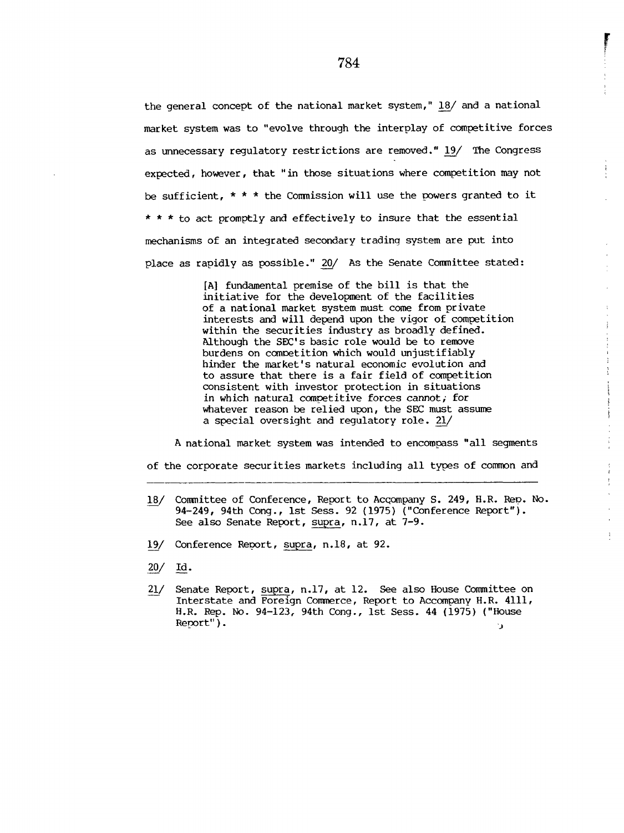the general concept of the national market system," 18/ and a national market system was to "evolve through the interplay of competitive forces as unnecessary regulatory restrictions are removed." 19/ The Congress expected, however, that "in those situations where competition may not be sufficient,  $* * *$  the Commission will use the powers granted to it \* \* \* to act promptly and effectively to insure that the essential mechanisms of an integrated secondary trading system are put into place as rapidly as possible." 20/ As the Senate Committee stated:

> [A] fundamental premise of the bill is that the initiative for the development of the facilities of a national market system must come from private interests and will depend upon the vigor of competition within the securities industry as broadly defined. Although the SEC's basic role would be to remove burdens on competition which would unjustifiably hinder the market's natural economic evolution and to assure that there is a fair field of competition consistent with investor protection in situations in which natural competitive forces cannot; for whatever reason be relied upon, the SEC must assume a special oversight and regulatory role. 21/

ţ

÷

į

 $\mathcal{V}$ 

A national market system was intended to encompass "all segments of the corporate securities markets including all types of common and

- 18\_\_/ Committee of Conference, Report to AcGompany S. 249, H.R. ReD. NO. 94-249, 94th Cong., ist Sess. 92 (1975) ("Conference Report"). See also Senate Report, supra, n.17, at 7-9.
- 19/ Conference Report, supra, n.18, at 92.
- $20/$  Id.
- Senate Report, supra, n.17, at 12. See also House Committee on  $21/$ Interstate and Foreign Commerce, Report to Accompany H.R. 4111, H.R. Rep. No. 94-123, 94th Cong., Ist Sess. 44 (1975) ("House Report").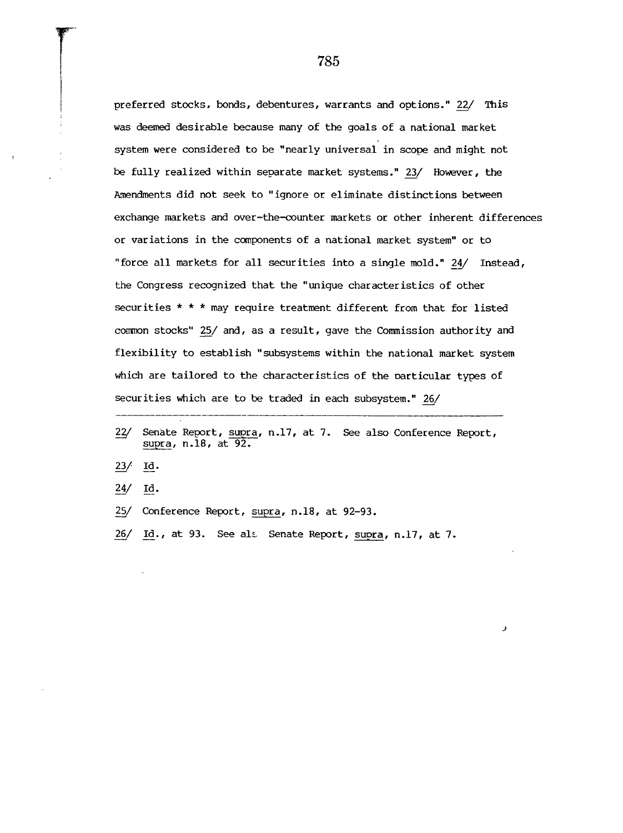preferred stocks, bonds, debentures, warrants and options." 22/ This was deemed desirable because many of the goals of a national market system were considered to be "nearly universal in scope and might not be fully realized within separate market systems." 23/ However, the Amendments did not seek to "ignore or eliminate distinctions between exchange markets and over-the-counter markets or other inherent differences or variations in the components of a national market system" or to "force all markets for all securities into a single mold." 24\_\_/ Instead, the Congress recognized that the "unique characteristics of other securities \* \* \* may require treatment different from that for listed common stocks" 25/ and, as a result, gave the Commission authority and flexibility to establish "subsystems within the national market system which are tailored to the characteristics of the particular types of securities which are to be traded in each subsystem." 26/

لا

785

<sup>22/</sup> Senate Report, supra, n.17, at 7. See also Conference Report,  $\underline{23}$  id. 24/ Id. 25/ Conference Report, supra, n.18, at 92-93. supra, n.18, at 92.

<sup>26/</sup> Id., at 93. See als Senate Report, supra, n.17, at 7.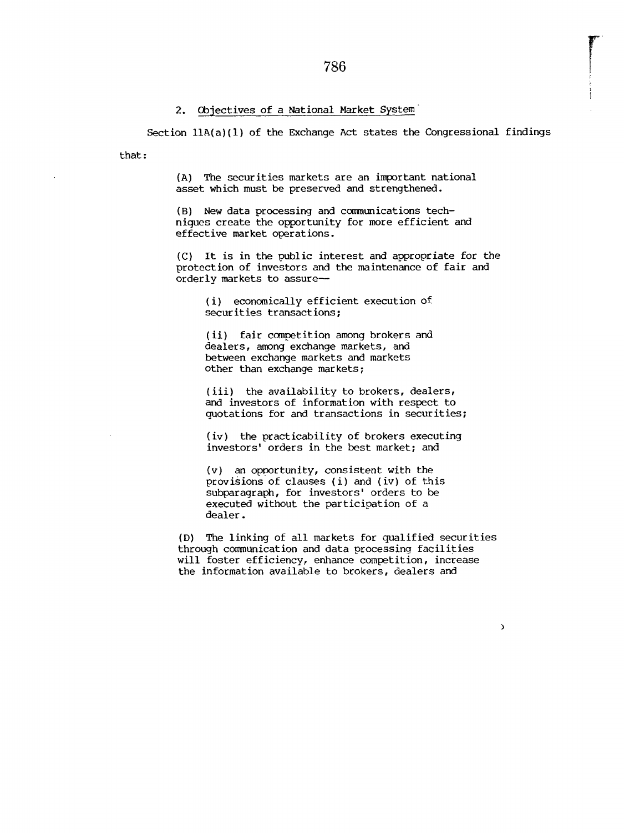### **2.** Objectives of a National Market System

Section  $11A(a)(1)$  of the Exchange Act states the Congressional findings

that:

(A) The securities markets are an important national asset which must be preserved and strengthened.

 $(B)$  New data processing and communications techniques create the opportunity for more efficient and effective market operations.

(C) It is in the public interest and appropriate for the protection of investors and the maintenance of fair and orderly markets to assure--

(i) economically efficient execution of securities transactions;

(ii) fair competition among brokers and dealers, among exchange markets, and between exchange markets and markets other than exchange markets;

(iii) the availability to brokers, dealers, and investors of information with respect to quotations for and transactions in securities;

(iv) the practicability of brokers executing investors' orders in the best market; and

 $(v)$  an opportunity, consistent with the provisions of clauses (i) and (iv) of this subparagraph, for investors' orders to be executed without the participation of a dealer.

(D) The linking of all markets for qualified securities through communication and data processing facilities will foster efficiency, enhance competition, increase the information available to brokers, dealers and

 $\lambda$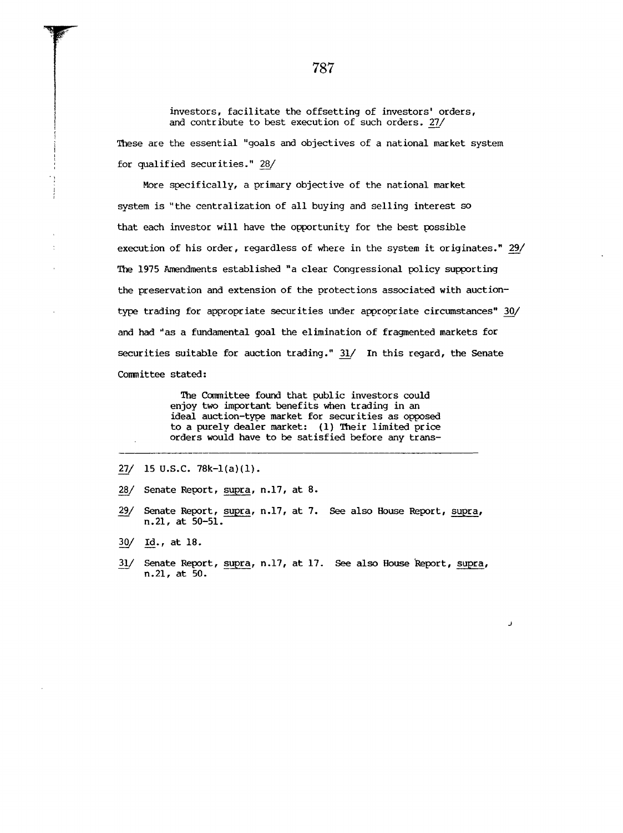investors, facilitate the offsetting of investors' orders, and contribute to best execution of such orders. 27/

These are the essential "goals and objectives of a national market system for qualified securities." 28\_\_/

More specifically, a primary objective of the national market system is "the centralization of all buying add selling interest so that each investor will have the opportunity for the best possible execution of his order, regardless of where in the system it originates." 29/ The 1975 Amendments established "a clear Congressional policy supporting the preservation and extension of the protections associated with auctiontype trading for appropriate securities under appropriate circumstances" 30/ and had "as a fundamental goal the elimination of fragmented markets for securities suitable for auction trading." 31/ In this regard, the Senate Committee stated:

> The Committee found that public investors could enjoy two important benefits when trading in an ideal auction-type market for securities as opposed to a purely dealer market: (1) Their limited price orders would have to be satisfied before any trans-

- **27/ 15 U.S.C. 78k-l(a)(1).**
- **28\_\_/ Senate Report, supra, n.17, at 8.**
- **29\_\_/Senate Report, supra, n.17, at 7.** See also House Report, supra, **n.21, at 50-51.**
- **30/ Id., at 18.**
- **31\_\_/Senate Report, s\_upra, n.17, at 17.** See also House "Report, supra,**n.21, at 50.**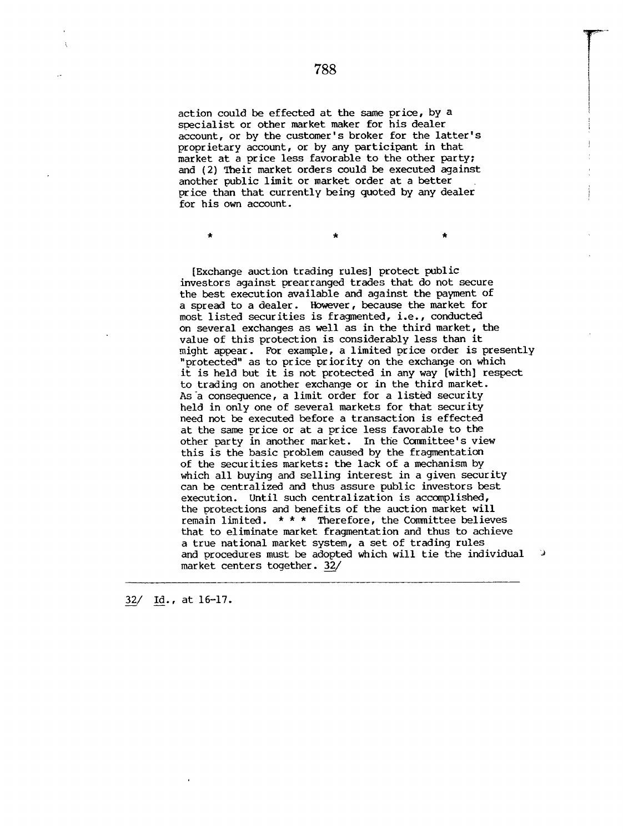action could be effected at the same price, by a specialist or other market maker for his dealer account, or by the customer's broker for the latter's proprietary account, or by any participant in that market at a price less favorable to the other party; and (2) Their market orders could be executed against another public limit or market order at a better price than that currently being quoted by any dealer for his own account.

[Exchange auction trading rules] protect public investors against prearranged trades that do not secure the best execution available and against the payment of a spread to a dealer. However, because the market for most listed securities is fragmented, i.e., conducted on several exchanges as well as in the third market, the value of this protection is considerably less than it might appear. For example, a limited price order is presently "protected" as to price priority on the exchange on which it is held but it is not protected in any way [with] respect to trading on another exchange or in the third market. As a consequence, a limit order for a listed security held in only one of several markets for that security need not be executed before a transaction is effected at the same price or at a price less favorable to the other party in another market. In the Committee's view this is the basic problem caused by the fragmentation of the securities markets: the lack of a mechanism by which all buying and selling interest in a given security can be centralized and thus assure public investors best execution. Until such centralization is accomplished, the protections and benefits of the auction market will remain limited. \* \* \* Therefore, the Committee believes that to eliminate market fragmentation and thus to achieve a true national market system, a set of trading rules and procedures must be adopted which will tie the individual D market centers together. 32/

 $32/$  Id., at 16-17.

ä,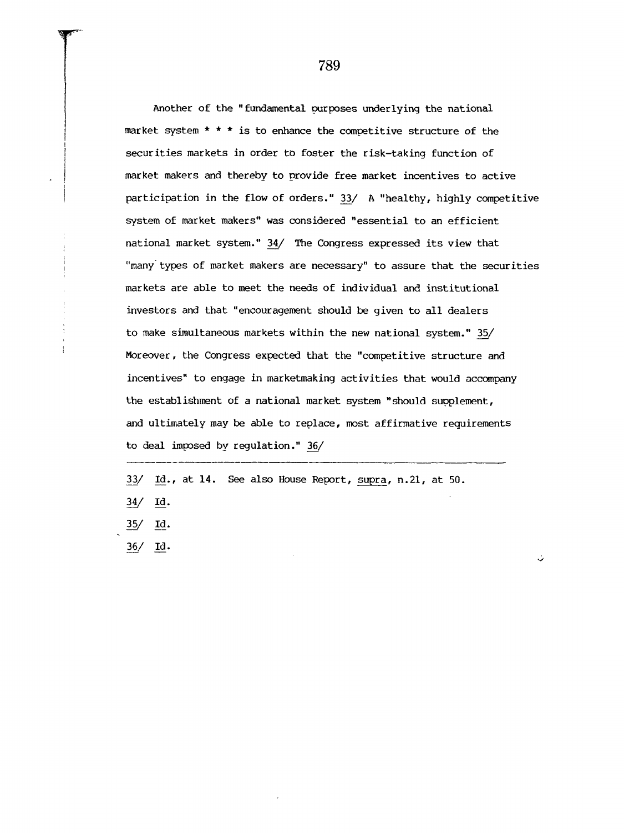Another of the "fundamental purposes underlying the national market system  $* * *$  is to enhance the competitive structure of the securities markets in order to foster the risk-taking function of market makers and thereby to provide free market incentives to active participation in the flow of orders." 33/ A "healthy, highly competitive system of market makers" was considered "essential to an efficient national market system." 34/ The Congress expressed its view that "many types of market makers are necessary" to assure that the securities markets are able to meet the needs of individual and institutional investors and that "encouragement should be given to all dealers to make simultaneous markets within the new national system." 35/ Moreover, the Congress expected that the "competitive structure and incentives" to engage in marketmaking activities that would accompany the establishment of a national market system "should supplement, and ultimately may be able to replace, most affirmative requirements to deal imposed by regulation."  $36/$ 

33/ Id., at 14. See also House Report, supra, n.21, at 50.

34/ Id.

35/ <u>Id</u>.

36\_\_/ Id.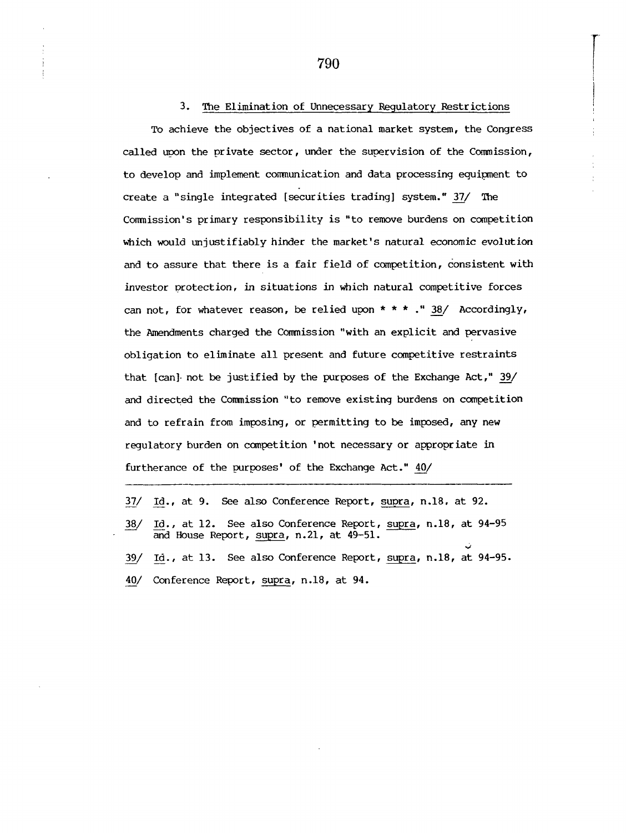#### 3. The Elimination of Unnecessary Regulatory Restrictions

To achieve the objectives of a national market system, the Congress called upon the private sector, under the supervision of the Commission, to develop and implement communication and data processing equipment to create a "single integrated [securities trading] system." 37/ The Commission's primary responsibility is "to remove burdens on competition which would unjustifiably hinder the market's natural economic evolution and to assure that there is a fair field of competition, consistent with investor protection, in situations in which natural competitive forces can not, for whatever reason, be relied upon  $* * *$ ." 38/ Accordingly, the Amendments charged the Commission "with an explicit and pervasive obligation to eliminate all present and future competitive restraints that [can] not be justified by the purposes of the Exchange Act," 39/ and directed the Commission "to remove existing burdens on competition and to refrain from imposing, or permitting to be imposed, any new regulatory burden on competition 'not necessary or appropriate in furtherance of the purposes' of the Exchange Act."  $40/$ 

37/ Id., at 9. See also Conference Report, supra, n.18, at 92. 18/ Id., at 12. See also Conference Report, supra, n.18, at 94-95 and House Report, supra, n.21, at 49-51. 39/ Id., at 13. See also Conference Report, supra, n.18, at 94-95. 40/ Conference Report, supra, n.18, at 94.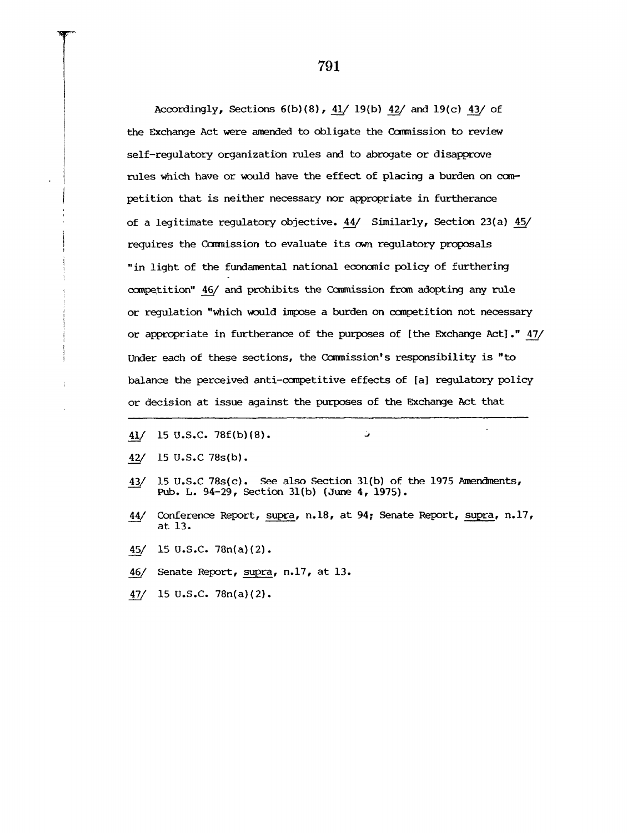Accordingly, Sections 6(b)(8), 41/ 19(b) 42/ and 19(c) 43/ of the Exchange Act were amended to obligate the Commission to review self-requlatory organization rules and to abrogate or disapprove rules which have or would have the effect of placing a burden on competition that is neither necessary nor appropriate in furtherance of a legitimate regulatory objective.  $44/$  Similarly, Section 23(a)  $45/$ requires the Commission to evaluate its own regulatory proposals "in light of the fundamental national economic policy of furthering competition" 46/ and prohibits the Commission from adopting any rule or regulation "which would impose a burden on competition not necessary or appropriate in furtherance of the purposes of [the Exchange Act] ." 47/ Under each of these sections, the Commission's responsibility is "to balance the perceived anti-competitive effects of [a] regulatory policy or decision at issue against the purposes of the Exchange Act that

- 41/ 15 U.S.C. 78f(b)(8). ~
- 42/ 15 U.S.C 78s(b).
- 43/ 15 U.S.C 78s(c). See also Section 31(b) of the 1975 Amendments, Pub. L. 94-29, Section 31(b) (June 4, 1975).

ات

- 44/ Conference Report, supra, n.18, at 94; Senate Report, supra, n.17, at 13.
- 45/ 15 U.S.C. 78n(a)(2).
- 46/ Senate Report, supra, n.17, at 13.
- 47/ 15 U.S.C. 78n(a)(2).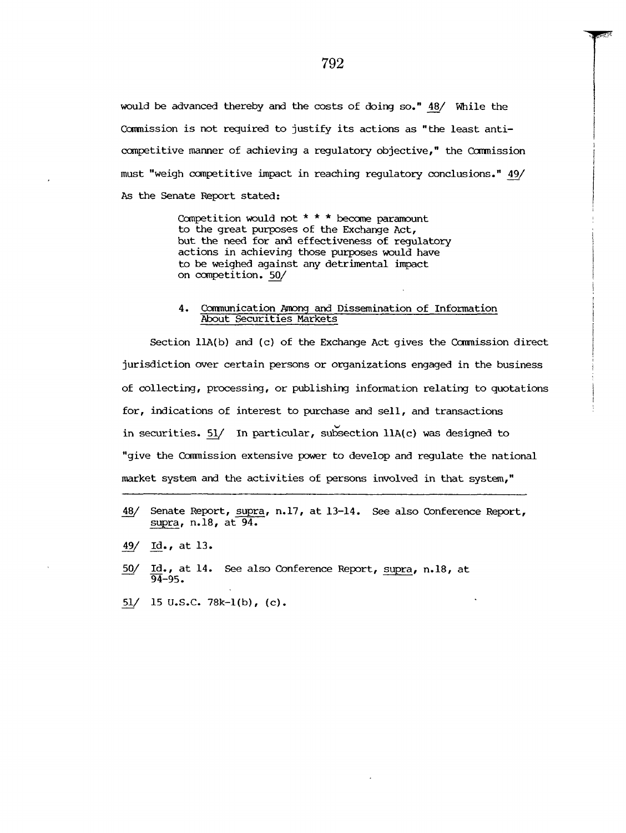would be advanced thereby and the costs of doing so." 48/ While the Commission is not required to justify its actions as "the least anticompetitive manner of achieving a regulatory objective," the Commission must "weigh competitive impact in reaching regulatory conclusions." 49/ As the Senate Report stated:

> Competition would not  $* * *$  become paramount to the great purposes of the Exchange Act, but the need for and effectiveness of regulatory actions in achieving those purposes would have to be weighed against any detrimental impact on competition. 50/

## 4. Communication Among and Dissemination of Information About Securities Markets

Section  $llA(b)$  and (c) of the Exchange Act gives the Commission direct jurisdiction over certain persons or organizations engaged in the business of collecting, processing, or publishing information relating to quotations for, indications of interest to purchase and sell, and transactions in securities.  $51/$  In particular, subsection llA(c) was designed to "give the Commission extensive power to develop and regulate the national market system and the activities of persons involved in that system,"

- 48/ Senate Report, supra, n.17, at 13-14. See also Conference Report, supra, n.18, at 94.
- 49/ Id., at 13.
- **50/** Id., at 14. See also Conference Report, supra, n.18, at 94-95.
- 51/ 15 U.S.C. 78k-1(b), (c).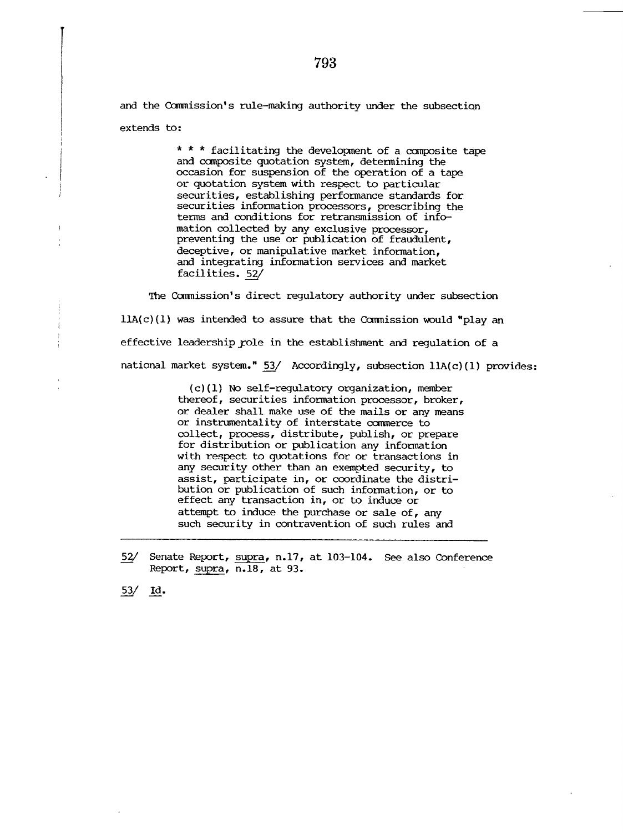and the Commission's rule-making authority under the subsection extends to:

> \* \* \* facilitating the development of a composite tape and composite quotation system, determining the occasion for suspension of the operation of a tape or quotation system with respect to particular securities, establishing performance standards for securities information processors, prescribing the terms and conditions for retransmission of infomation collected by any exclusive processor, preventing the use or publication of fraudulent, deceptive, or manipulative market information, and integrating information services and market facilities. 52/

The Commission's direct regulatory authority under subsection  $llA(c)(1)$  was intended to assure that the Commission would "play an effective leadership role in the establishment and regulation of a national market system." 53/ Accordingly, subsection  $ll(A(c)(1))$  provides:

> (c)(1) No self-regulatory organization, member thereof, securities information processor, broker, or dealer shall make use of the mails or any means or instrumentality of interstate commerce to collect, process, distribute, publish, or prepare for distribution or publication any information with respect to quotations for or transactions in any security other than an exempted security, to assist, participate in, or coordinate the distribution or publication of such information, or to effect any transaction in, or to induce or attempt to induce the purchase or sale of, any such security in contravention of such rules and

52/ Senate Report, supra, n.17, at 103-104. See also ConferenceReport, supra, n.18, at 93.

53/ Id.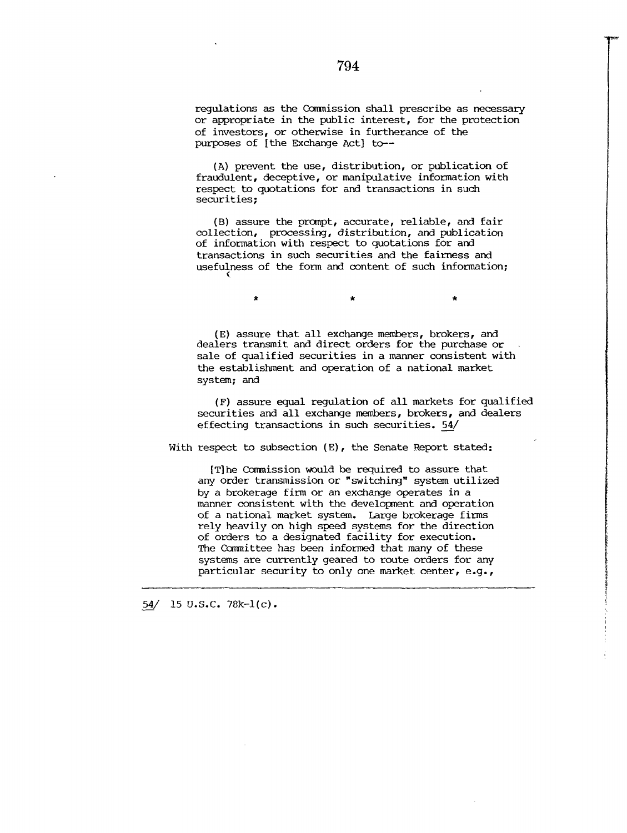regulations as the Commission shall prescribe as necessary or appropriate in the public interest, for the protection of investors, or otherwise in furtherance of the purposes of [the Exchange Act] to--

(A) prevent the use, distribution, or publication of fraudulent, deceptive, or manipulative information with respect to quotations for and transactions in such securities;

(B) assure the prompt, accurate, reliable, and fair collection, processing, distribution, and publication of information with respect to quotations for and transactions in such securities and the fairness and usefulness of the form and content of such information;

> $\star$  $\star$

(E) assure that all exchange members, brokers, and dealers transmit and direct orders for the purchase or sale of qualified securities in a manner consistent with the establishment and operation of a national market system; and

**(F) assure equal regulation of all markets for qualified securities and all exchange members, brokers, and dealers effecting transactions in such securities. 54\_\_/**

With respect to subsection (E), the Senate Report stated:

[T]he Commission would be required to assure that any order transmission or "switching" system utilized by a brokerage firm or an exchange operates in a manner consistent with the development and operation of a national market system. Large brokerage firms rely heavily on high speed systems for the direction of orders to a designated facility for execution. The Committee has been informed that many of these systems are currently geared to route orders for any particular security to only one market center, e.g.,

54 $/$  15 U.S.C. 78k-1(c).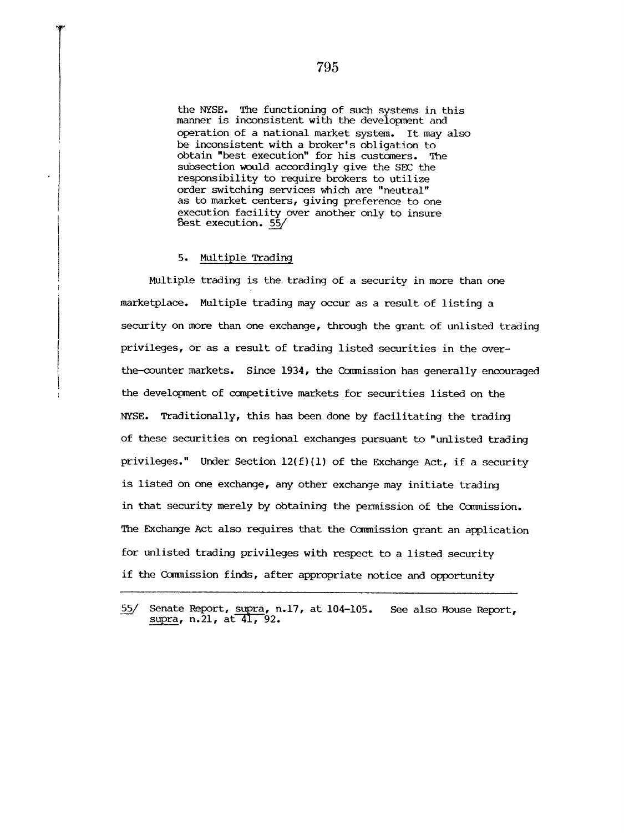the NYSE. The functioning of such systems in this manner is inconsistent with the development and operation of a national market system. It may also be inconsistent with a broker's obligation to obtain "best execution" for his customers. The subsection would accordingly give the SEC the responsibility to require brokers to utilize order switching services which are "neutral" as to market centers, giving preference to one execution facility over another only to insure ~est execution. **55/**

#### 5. Multiple Trading

Multiple trading is the trading of a security in more than one marketplace. Multiple trading may occur as a result of listing a security on more than one exchange, through the grant of unlisted trading privileges, or as a result of trading listed securities in the overthe-counter markets. Since 1934, the Commission has generally encouraged the development of competitive markets for securities listed on the NYSE. Traditionally, this has been done by facilitating the trading of these securities on regional exchanges pursuant to "unlisted trading privileges." Under Section  $12(f)(1)$  of the Exchange Act, if a security is listed on one exchange, any other exchange may initiate trading in that security merely by obtaining the permission of the Commission. The Exchange Act also requires that the Commission grant an application for unlisted trading privileges with respect to a listed security if the Commission finds, after appropriate notice and opportunity

**<sup>55</sup>\_\_/ Senate Report, supra, n.17, at 104-105.** supra, n.21, at 41, 92. See also House Report,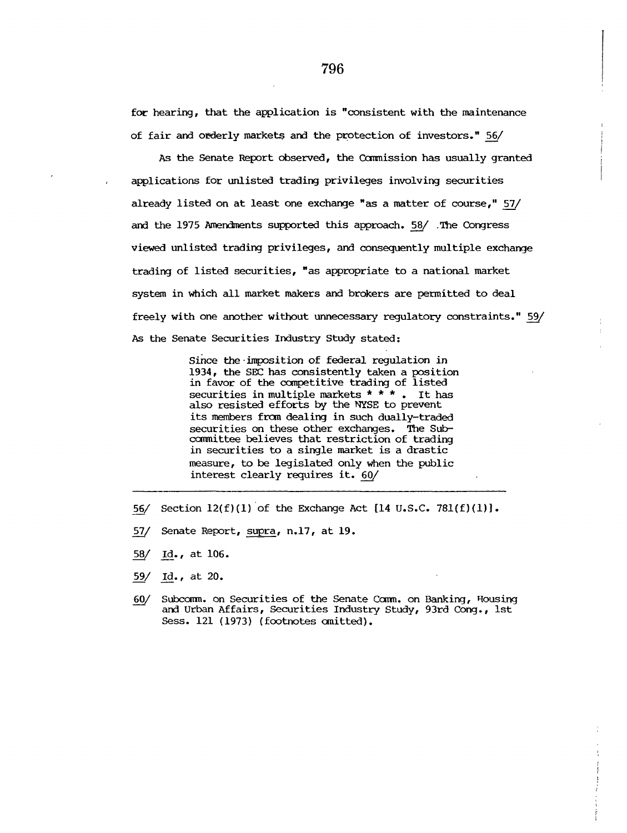for hearing, that the application is "consistent with the maintenance of fair and orderly markets and the protection of investors." 56/

As the Senate Report observed, the Commission has usually granted applications for unlisted trading privileges involving securities already listed on at least one exchange "as a matter of course," 57/ and the 1975 Amendments supported this approach. 58/ .The Congress viewed unlisted trading privileges, and consequently multiple exchange trading of listed securities, "as appropriate to a national market system in which all market makers and brokers are permitted to deal freely with one another without unnecessary regulatory constraints." 59/ As the Senate Securities Industry Study stated:

> Since the imposition of federal regulation in 1934, the SEC has consistently taken a position in favor of the competitive trading of listed securities in multiple markets  $* * *$ . It has also resisted efforts by the NYSE to prevent its members from dealing in such dually-traded securities on these other exchanges. The Subcommittee believes that restriction of trading in securities to a single market is a drastic measure, to be legislated only when the public interest clearly requires it. 60/

- 56/ Section  $12(f)(1)$  of the Exchange Act  $[14 \text{ U.S.C. } 781(f)(1)]$ .
- 57/ Senate Report, supra, n.17, at 19.
- 58/ Id., at  $106.$
- 59/ Id., at 20.
- 60/ Subcomm. on Securities of the Senate Comm. on Banking, Housing and Urban Affairs, Securities Industry Study, 93rd Cong., ist Sess. 121 (1973) (footnotes omitted).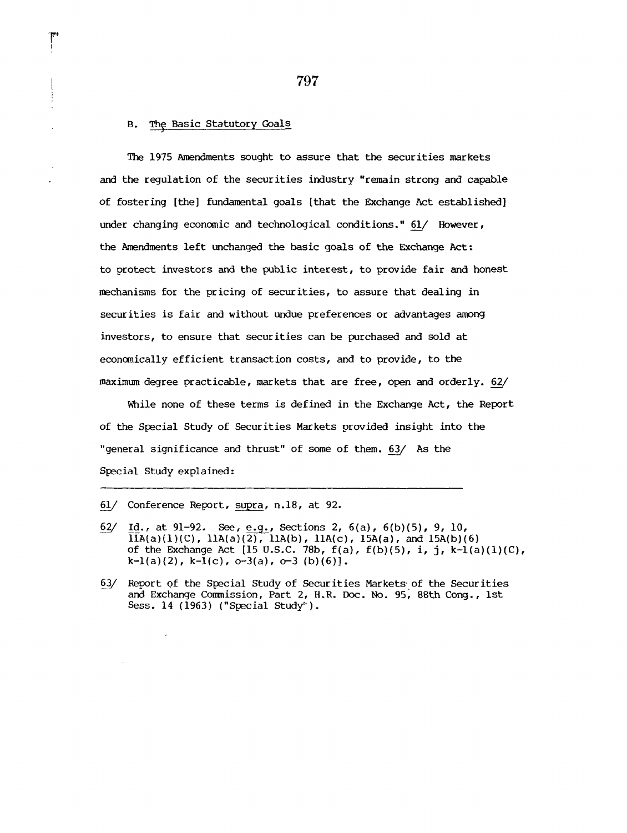# B. The Basic Statutory Goals

The 1975 Amendments sought to assure that the securities markets and the regulation of the securities industry "remain strong and capable of fostering [the] fundamental goals [that the Exchange Act established] under changing economic and technological conditions." 61/ However, the Amendments left unchanged the basic goals of the Exchange Act: to protect investors and the public interest, to provide fair and honest mechanisms for the pricing of securities, to assure that dealing in securities is fair and without undue preferences or advantages among investors, to ensure that securities can be purchased and sold at economically efficient transaction costs, and to provide, to the maximum degree practicable, markets that are free, open and orderly. 62/

While none of these terms is defined in the Exchange Act, the Report of the Special Study of Securities Markets provided insight into the "general significance and thrust" of some of them. 63/ As the Special Study explained:

 $61/$  Conference Report, supra, n.18, at 92.

 $\mathcal{L}$ 

- $62/$ Id., at  $91-92$ . See, e.g., Sections 2,  $6(a)$ ,  $6(b)(5)$ , 9, 10,  $\overline{IIA(a)(1)(C)}$ ,  $11A(a)(\overline{2)}$ ,  $11A(b)$ ,  $11A(c)$ ,  $15A(a)$ , and  $15A(b)(6)$ of the Exchange Act [15 U.S.C. 78b,  $f(a)$ ,  $f(b)(5)$ , i, j,  $k-l(a)(1)(C)$ ,  $k-1(a)(2)$ ,  $k-1(c)$ ,  $o-3(a)$ ,  $o-3(b)(6)$ ].
- 63/ Report of the Special Study of Securities Markets. of the Securities and Exchange Commission, Part 2, H.R. Doc. No. 95, 88th Cong., 1st Sess. 14 (1963) ("Special Study").

797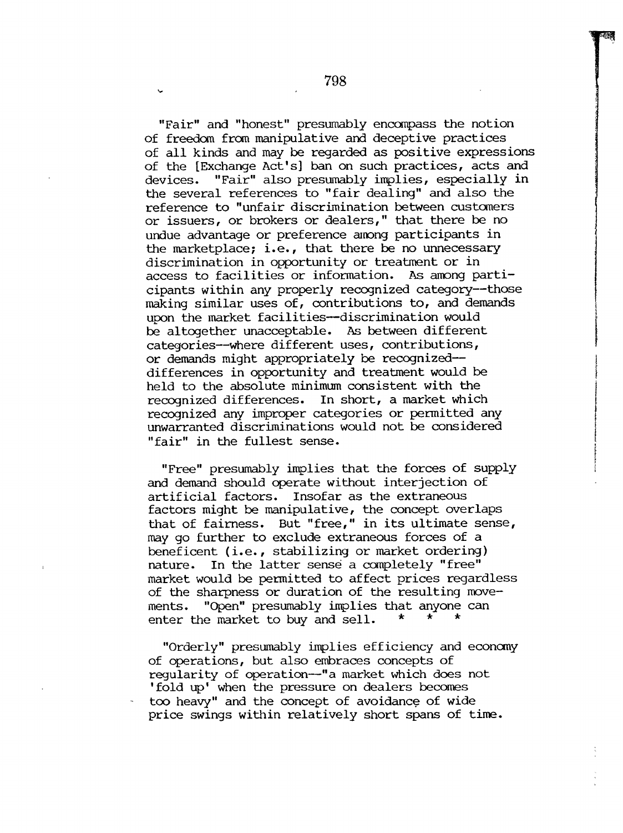"Fair" and "honest" presumably encompass the notion of freedom from manipulative and deceptive practices of all kinds and may be regarded as positive expressions of the [Exchange Act's] ban on such practices, acts and devices. "Fair" also presumably implies, especially in the several references to "fair dealing" and also the reference to "unfair discrimination between customers or issuers, or brokers or dealers," that there be no undue advantage or preference among participants in the marketplace; i.e., that there be no unnecessary discrimination in opportunity or treatment or in access to facilities or information. As among participants within any properly recognized category--those making similar uses of, contributions to, and demands upon the market facilities--discrimination would be altogether unacceptable. As between different categories--where different uses, contributions, or demands might appropriately be recognizeddifferences in opportunity and treatment would be held to the absolute minimum consistent with the recognized differences. In short, a market which recognized any improper categories or permitted any unwarranted discriminations would not be considered "fair" in the fullest sense.

"Free" presumably implies that the forces of supply and demand should operate without interjection of artificial factors. Insofar as the extraneous factors might be manipulative, the concept overlaps that of fairness. But "free," in its ultimate sense, may go further to exclude extraneous forces of a beneficent (i.e., stabilizing or market ordering) nature. In the latter sense a completely "free" market would be permitted to affect prices regardless of the sharpness or duration of the resulting movements. "Open" presumably implies that anyone can enter the market to buy and sell.  $*$ 

"Orderly" presumably implies efficiency and economy of operations, but also embraces concepts of regularity of operation--"a market which does not 'fold up' when the pressure on dealers becomes too heavy" and the concept of avoidance of wide price swings within relatively short spans of time.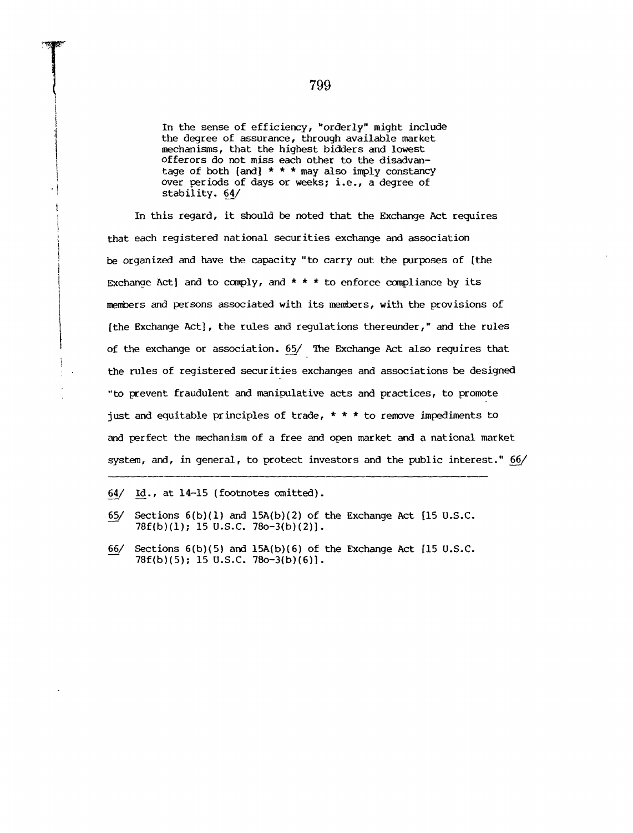In the sense of efficiency, "orderly" might include the degree of assurance, through available market mechanisms, that the highest bidders and lowest offerors do not miss each other to the disadvantage of both [and] \* \* \* may also imply constancY over periods of days or weeks; i.e., a degree of stability.  $64/$ 

In this regard, it should be noted that the Exchange Act requires that each registered national securities exchange and association be organized and have the capacity "to carry out the purposes of [the Exchange Act] and to comply, and  $* * *$  to enforce compliance by its members and persons associated with its members, with the provisions of [the Exchange Act], the rules and regulations thereunder," and the rules of the exchange or association. 65/ The Exchange Act also requires that the rules of registered securities exchanges and associations be designed "to prevent fraudulent and manipulative acts and practices, to promote just and equitable principles of trade,  $* * *$  to remove impediments to and perfect the mechanism of a free and open market and a national market system, and, in general, to protect investors and the public interest." 66/

**64\_\_/ Id., at 14-15 (footnotes omitted).**

- **65/ Sections 6(b)(1) and 15A(b)(2) of the Exchange Act [15** U.S.C. **78f(b)(1); 15 U.S.C. 78o-3(b)(2)].**
- **66/ Sections 6(b)(5) and 15A(b)(6) of the Exchange Act [15** U.S.C.**78f(b)(5); 15 U.S.C. 78o-3(b)(6)].**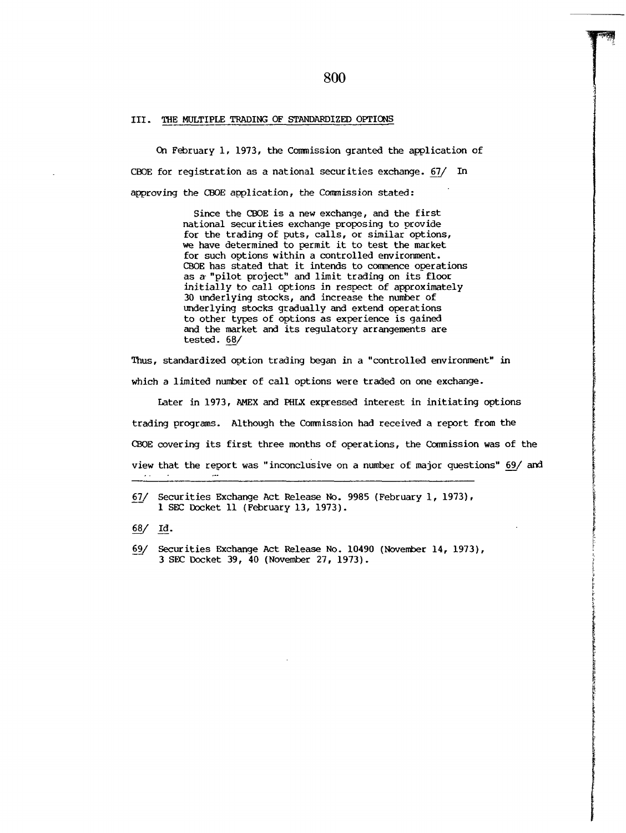#### III. THE MULTIPLE TRADING OF STANDARDIZED OPTIONS

On February 1, 1973, the Commission granted the application of CBOE for registration as a national securities exchange. 67/ In approving the CBOE application, the Commission stated:

> Since the CBOE is a new exchange, and the first national securities exchange proposing to provide for the trading of puts, calls, or similar options, we have determined to permit it to test the market for such options within a controlled environment. CBOE has stated that it intends to commence operations as a-"pilot project" and limit trading on its floor initially to call options in respect of approximately 30 underlying stocks, and increase the number of underlying stocks gradually and extend operations to other types of options as experience is gained and the market and its regulatory arrangements are tested. 68/

Thus, standardized option trading began in a "controlled environment" in

which a limited number of call options were traded on one exchange.

Later in 1973, AMEX and PHLX expressed interest in initiating options trading programs. Although the Comnission had received a report from the CBOE covering its first three months of operations, the Commission was of the view that the report was "inconclusive on a number of major questions" 69/ and

67/ Securities Exchange Act Release No. 9985 (February 1, 1973), I SEC Docket ii (February 13, 1973).

68/ Id.

~9\_/ Securities Exchange Act Release No. 10490 (November 14, 1973), 3 SEC Docket 39, 40 (November 27, 1973).

# **80O**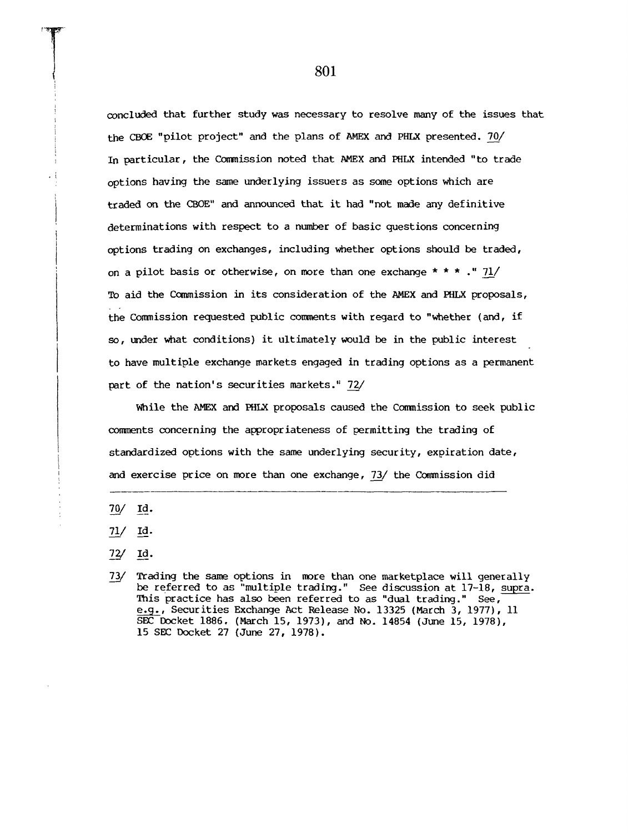concluded that further study was necessary to resolve many of the issues that the CBOE "pilot project" and the plans of AMEX and PHLX presented. 70/ In particular, the Commission noted that AMEX and PHLX intended "to trade options having the sane underlying issuers as some options which are traded on the CBOE" and announced that it had "not made any definitive determinations with respect to a number of basic questions concerning options trading on exchanges, including whether options should be traded, on a pilot basis or otherwise, on more than one exchange  $\star \star \star \cdot \cdot$  71/ To aid the Commission in its consideration of the AMEX and PHLX proposals, the Commission requested public comments with regard to "whether (and, if so, under what conditions) it ultimately would be in the public interest to have multiple exchange markets engaged in trading options as a permanent part of the nation's securities markets." 72/

While the AMEX and PHLX proposals caused the Commission to seek public comments concerning the appropriateness of permitting the trading of standardized options with the same underlying security, expiration date, and exercise price on more than one exchange,  $73/$  the Commission did

 $70/$ Id.

 $71/$ Id.

- $72/$ Id.
- 73/ Trading the same options in more than one marketplace will generally be referred to as "multiple trading." See discussion at  $17-18$ , supra. This practice has also been referred to as "dual trading." See, e.g., Securities Exchange Act Release No. 13325 (March 3, 1977), 11 SEC Docket 1886. (March 15, 1973), and No. 14854 (June 15, 1978), 15 SEC Docket 27 (June 27, 1978).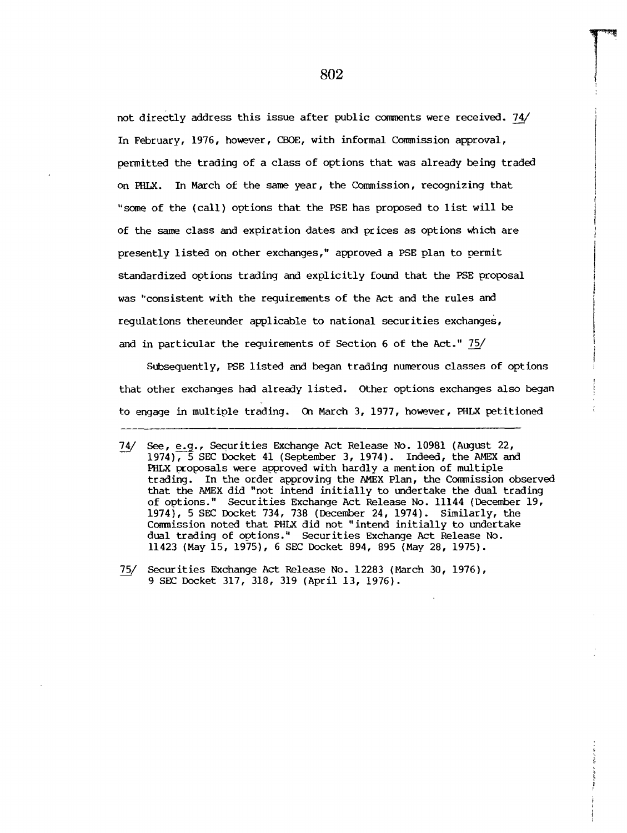not directly address this issue after public comments were received. 74/ In February, 1976, however, CBOE, with informal Commission approval, permitted the trading of a class of options that was already being traded on PHLX. In March of the same year, the Commission, recognizing that "some of the (call) options that the PSE has proposed to list will be of the same class and expiration dates and prices as options which are presently listed on other exchanges," approved a PSE plan to permit standardized options trading and explicitly found that the PSE proposal was "consistent with the requirements of the Act and the rules and regulations thereunder applicable to national securities exchanges, and in particular the requirements of Section 6 of the Act." 75/

Subsequently, PSE listed and began trading numerous classes of options that other exchanges had already listed. Other options exchanges also began to engage in multiple trading. On March 3, 1977, however, PHLX petitioned

**<sup>7</sup>\_a\_l**See, e.g., Securities Exchange Act Release No. 10981 (August 22, 1974), 5 SEC Docket 41 (September 3, 1974). Indeed, the AMEX and PHLX proposals were approved with hardly a mention of multiple trading. In the order approving the AMEX Plan, the Commission observed that the AMEX did "not intend initially to undertake the dual trading of options." Securities Exchange Act Release No. 11144 (December 19, 1974), 5 SEC Docket 734, 738 (December 24, 1974). Similarly, the Commission noted that PHLX did not "intend initially to undertake dual trading of options." Securities Exchange Act Release No. 11423 (May 15, 1975), 6 SEC Docket 894, 895 (May 28, 1975).

<sup>75/</sup> Securities Exchange Act Release No. 12283 (March 30, 1976), 9 SEC Docket 317, 318, 319 (April 13, 1976).